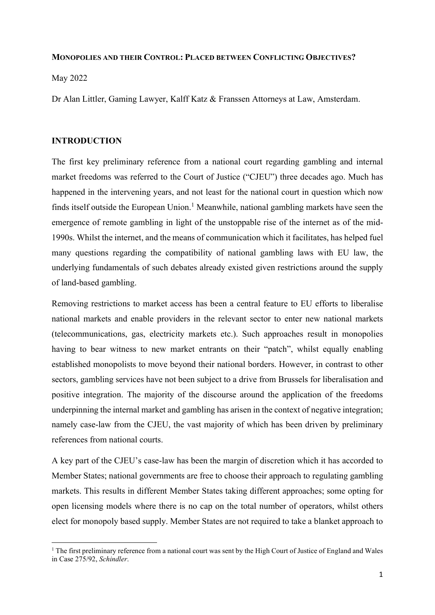## MONOPOLIES AND THEIR CONTROL: PLACED BETWEEN CONFLICTING OBJECTIVES?

May 2022

Dr Alan Littler, Gaming Lawyer, Kalff Katz & Franssen Attorneys at Law, Amsterdam.

## INTRODUCTION

The first key preliminary reference from a national court regarding gambling and internal market freedoms was referred to the Court of Justice ("CJEU") three decades ago. Much has happened in the intervening years, and not least for the national court in question which now finds itself outside the European Union.<sup>1</sup> Meanwhile, national gambling markets have seen the emergence of remote gambling in light of the unstoppable rise of the internet as of the mid-1990s. Whilst the internet, and the means of communication which it facilitates, has helped fuel many questions regarding the compatibility of national gambling laws with EU law, the underlying fundamentals of such debates already existed given restrictions around the supply of land-based gambling.

Removing restrictions to market access has been a central feature to EU efforts to liberalise national markets and enable providers in the relevant sector to enter new national markets (telecommunications, gas, electricity markets etc.). Such approaches result in monopolies having to bear witness to new market entrants on their "patch", whilst equally enabling established monopolists to move beyond their national borders. However, in contrast to other sectors, gambling services have not been subject to a drive from Brussels for liberalisation and positive integration. The majority of the discourse around the application of the freedoms underpinning the internal market and gambling has arisen in the context of negative integration; namely case-law from the CJEU, the vast majority of which has been driven by preliminary references from national courts.

A key part of the CJEU's case-law has been the margin of discretion which it has accorded to Member States; national governments are free to choose their approach to regulating gambling markets. This results in different Member States taking different approaches; some opting for open licensing models where there is no cap on the total number of operators, whilst others elect for monopoly based supply. Member States are not required to take a blanket approach to

 $<sup>1</sup>$  The first preliminary reference from a national court was sent by the High Court of Justice of England and Wales</sup> in Case 275/92, Schindler.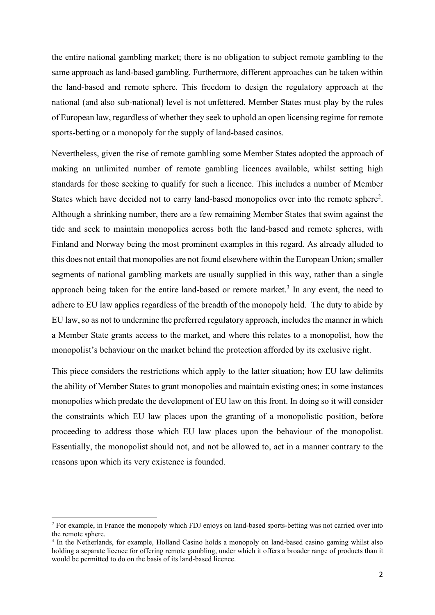the entire national gambling market; there is no obligation to subject remote gambling to the same approach as land-based gambling. Furthermore, different approaches can be taken within the land-based and remote sphere. This freedom to design the regulatory approach at the national (and also sub-national) level is not unfettered. Member States must play by the rules of European law, regardless of whether they seek to uphold an open licensing regime for remote sports-betting or a monopoly for the supply of land-based casinos.

Nevertheless, given the rise of remote gambling some Member States adopted the approach of making an unlimited number of remote gambling licences available, whilst setting high standards for those seeking to qualify for such a licence. This includes a number of Member States which have decided not to carry land-based monopolies over into the remote sphere<sup>2</sup>. Although a shrinking number, there are a few remaining Member States that swim against the tide and seek to maintain monopolies across both the land-based and remote spheres, with Finland and Norway being the most prominent examples in this regard. As already alluded to this does not entail that monopolies are not found elsewhere within the European Union; smaller segments of national gambling markets are usually supplied in this way, rather than a single approach being taken for the entire land-based or remote market.<sup>3</sup> In any event, the need to adhere to EU law applies regardless of the breadth of the monopoly held. The duty to abide by EU law, so as not to undermine the preferred regulatory approach, includes the manner in which a Member State grants access to the market, and where this relates to a monopolist, how the monopolist's behaviour on the market behind the protection afforded by its exclusive right.

This piece considers the restrictions which apply to the latter situation; how EU law delimits the ability of Member States to grant monopolies and maintain existing ones; in some instances monopolies which predate the development of EU law on this front. In doing so it will consider the constraints which EU law places upon the granting of a monopolistic position, before proceeding to address those which EU law places upon the behaviour of the monopolist. Essentially, the monopolist should not, and not be allowed to, act in a manner contrary to the reasons upon which its very existence is founded.

<sup>&</sup>lt;sup>2</sup> For example, in France the monopoly which FDJ enjoys on land-based sports-betting was not carried over into the remote sphere.

<sup>&</sup>lt;sup>3</sup> In the Netherlands, for example, Holland Casino holds a monopoly on land-based casino gaming whilst also holding a separate licence for offering remote gambling, under which it offers a broader range of products than it would be permitted to do on the basis of its land-based licence.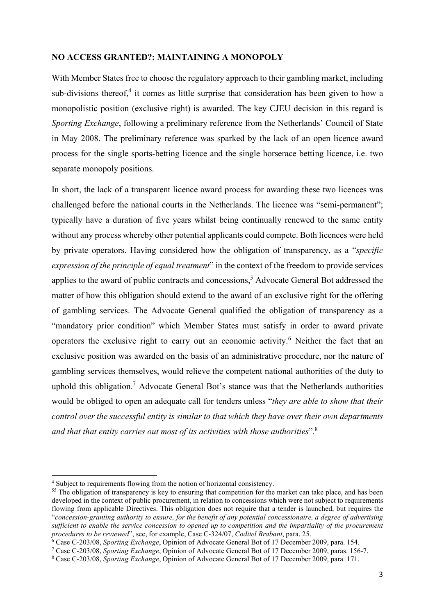#### NO ACCESS GRANTED?: MAINTAINING A MONOPOLY

With Member States free to choose the regulatory approach to their gambling market, including sub-divisions thereof,<sup>4</sup> it comes as little surprise that consideration has been given to how a monopolistic position (exclusive right) is awarded. The key CJEU decision in this regard is Sporting Exchange, following a preliminary reference from the Netherlands' Council of State in May 2008. The preliminary reference was sparked by the lack of an open licence award process for the single sports-betting licence and the single horserace betting licence, i.e. two separate monopoly positions.

In short, the lack of a transparent licence award process for awarding these two licences was challenged before the national courts in the Netherlands. The licence was "semi-permanent"; typically have a duration of five years whilst being continually renewed to the same entity without any process whereby other potential applicants could compete. Both licences were held by private operators. Having considered how the obligation of transparency, as a "specific expression of the principle of equal treatment" in the context of the freedom to provide services applies to the award of public contracts and concessions,<sup>5</sup> Advocate General Bot addressed the matter of how this obligation should extend to the award of an exclusive right for the offering of gambling services. The Advocate General qualified the obligation of transparency as a "mandatory prior condition" which Member States must satisfy in order to award private operators the exclusive right to carry out an economic activity.<sup>6</sup> Neither the fact that an exclusive position was awarded on the basis of an administrative procedure, nor the nature of gambling services themselves, would relieve the competent national authorities of the duty to uphold this obligation.<sup>7</sup> Advocate General Bot's stance was that the Netherlands authorities would be obliged to open an adequate call for tenders unless "they are able to show that their control over the successful entity is similar to that which they have over their own departments and that that entity carries out most of its activities with those authorities".<sup>8</sup>

<sup>4</sup> Subject to requirements flowing from the notion of horizontal consistency.

<sup>&</sup>lt;sup>55</sup> The obligation of transparency is key to ensuring that competition for the market can take place, and has been developed in the context of public procurement, in relation to concessions which were not subject to requirements flowing from applicable Directives. This obligation does not require that a tender is launched, but requires the "concession-granting authority to ensure, for the benefit of any potential concessionaire, a degree of advertising sufficient to enable the service concession to opened up to competition and the impartiality of the procurement procedures to be reviewed", see, for example, Case C-324/07, Coditel Brabant, para. 25.

<sup>&</sup>lt;sup>6</sup> Case C-203/08, Sporting Exchange, Opinion of Advocate General Bot of 17 December 2009, para. 154.

<sup>&</sup>lt;sup>7</sup> Case C-203/08, Sporting Exchange, Opinion of Advocate General Bot of 17 December 2009, paras. 156-7.

<sup>&</sup>lt;sup>8</sup> Case C-203/08, Sporting Exchange, Opinion of Advocate General Bot of 17 December 2009, para. 171.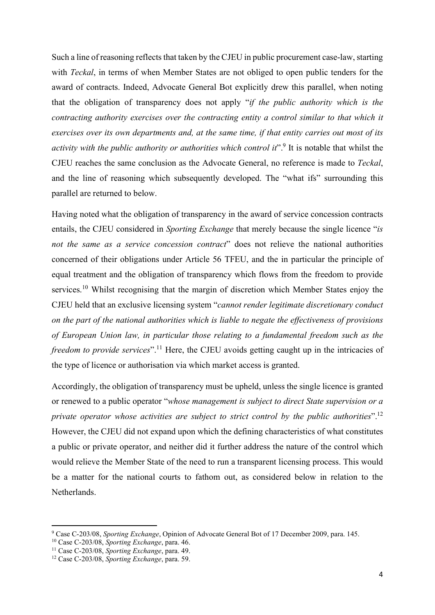Such a line of reasoning reflects that taken by the CJEU in public procurement case-law, starting with *Teckal*, in terms of when Member States are not obliged to open public tenders for the award of contracts. Indeed, Advocate General Bot explicitly drew this parallel, when noting that the obligation of transparency does not apply "if the public authority which is the contracting authority exercises over the contracting entity a control similar to that which it exercises over its own departments and, at the same time, if that entity carries out most of its activity with the public authority or authorities which control it".<sup>9</sup> It is notable that whilst the CJEU reaches the same conclusion as the Advocate General, no reference is made to Teckal, and the line of reasoning which subsequently developed. The "what ifs" surrounding this parallel are returned to below.

Having noted what the obligation of transparency in the award of service concession contracts entails, the CJEU considered in *Sporting Exchange* that merely because the single licence "is not the same as a service concession contract" does not relieve the national authorities concerned of their obligations under Article 56 TFEU, and the in particular the principle of equal treatment and the obligation of transparency which flows from the freedom to provide services.<sup>10</sup> Whilst recognising that the margin of discretion which Member States enjoy the CJEU held that an exclusive licensing system "cannot render legitimate discretionary conduct on the part of the national authorities which is liable to negate the effectiveness of provisions of European Union law, in particular those relating to a fundamental freedom such as the freedom to provide services".<sup>11</sup> Here, the CJEU avoids getting caught up in the intricacies of the type of licence or authorisation via which market access is granted.

Accordingly, the obligation of transparency must be upheld, unless the single licence is granted or renewed to a public operator "whose management is subject to direct State supervision or a private operator whose activities are subject to strict control by the public authorities".<sup>12</sup> However, the CJEU did not expand upon which the defining characteristics of what constitutes a public or private operator, and neither did it further address the nature of the control which would relieve the Member State of the need to run a transparent licensing process. This would be a matter for the national courts to fathom out, as considered below in relation to the Netherlands.

<sup>&</sup>lt;sup>9</sup> Case C-203/08, Sporting Exchange, Opinion of Advocate General Bot of 17 December 2009, para. 145.

<sup>10</sup> Case C-203/08, Sporting Exchange, para. 46.

 $11$  Case C-203/08, Sporting Exchange, para. 49.

<sup>&</sup>lt;sup>12</sup> Case C-203/08, Sporting Exchange, para. 59.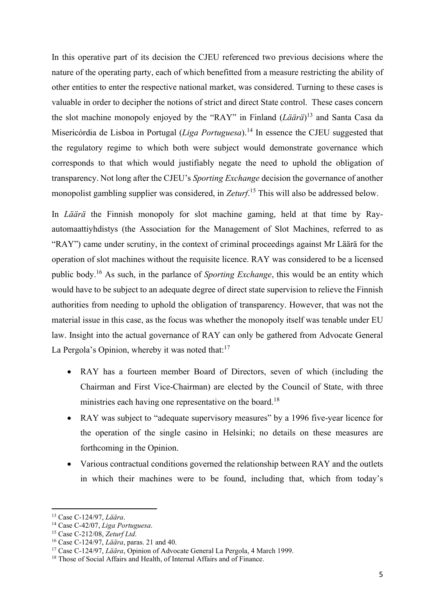In this operative part of its decision the CJEU referenced two previous decisions where the nature of the operating party, each of which benefitted from a measure restricting the ability of other entities to enter the respective national market, was considered. Turning to these cases is valuable in order to decipher the notions of strict and direct State control. These cases concern the slot machine monopoly enjoyed by the "RAY" in Finland  $(L\ddot{a}\ddot{a}r\ddot{a})^{13}$  and Santa Casa da Misericórdia de Lisboa in Portugal (*Liga Portuguesa*).<sup>14</sup> In essence the CJEU suggested that the regulatory regime to which both were subject would demonstrate governance which corresponds to that which would justifiably negate the need to uphold the obligation of transparency. Not long after the CJEU's Sporting Exchange decision the governance of another monopolist gambling supplier was considered, in Zeturf.<sup>15</sup> This will also be addressed below.

In Läärä the Finnish monopoly for slot machine gaming, held at that time by Rayautomaattiyhdistys (the Association for the Management of Slot Machines, referred to as "RAY") came under scrutiny, in the context of criminal proceedings against Mr Läärä for the operation of slot machines without the requisite licence. RAY was considered to be a licensed public body.<sup>16</sup> As such, in the parlance of *Sporting Exchange*, this would be an entity which would have to be subject to an adequate degree of direct state supervision to relieve the Finnish authorities from needing to uphold the obligation of transparency. However, that was not the material issue in this case, as the focus was whether the monopoly itself was tenable under EU law. Insight into the actual governance of RAY can only be gathered from Advocate General La Pergola's Opinion, whereby it was noted that: $17$ 

- RAY has a fourteen member Board of Directors, seven of which (including the Chairman and First Vice-Chairman) are elected by the Council of State, with three ministries each having one representative on the board.<sup>18</sup>
- RAY was subject to "adequate supervisory measures" by a 1996 five-year licence for the operation of the single casino in Helsinki; no details on these measures are forthcoming in the Opinion.
- Various contractual conditions governed the relationship between RAY and the outlets in which their machines were to be found, including that, which from today's

<sup>13</sup> Case C-124/97, Läära.

<sup>&</sup>lt;sup>14</sup> Case C-42/07, Liga Portuguesa.

<sup>15</sup> Case C-212/08, Zeturf Ltd.

<sup>16</sup> Case C-124/97, Läära, paras. 21 and 40.

<sup>&</sup>lt;sup>17</sup> Case C-124/97, Läära, Opinion of Advocate General La Pergola, 4 March 1999.

<sup>&</sup>lt;sup>18</sup> Those of Social Affairs and Health, of Internal Affairs and of Finance.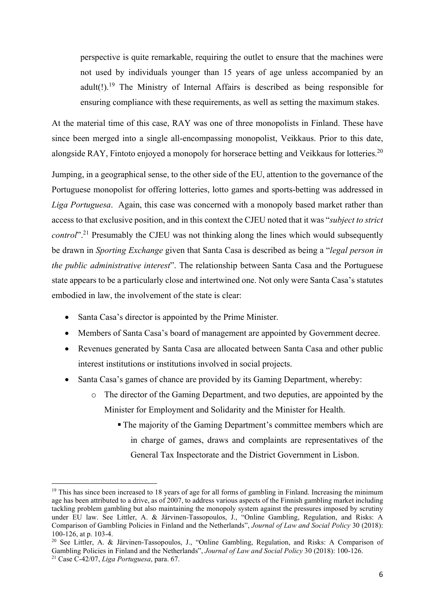perspective is quite remarkable, requiring the outlet to ensure that the machines were not used by individuals younger than 15 years of age unless accompanied by an adult(!).<sup>19</sup> The Ministry of Internal Affairs is described as being responsible for ensuring compliance with these requirements, as well as setting the maximum stakes.

At the material time of this case, RAY was one of three monopolists in Finland. These have since been merged into a single all-encompassing monopolist, Veikkaus. Prior to this date, alongside RAY, Fintoto enjoyed a monopoly for horserace betting and Veikkaus for lotteries.<sup>20</sup>

Jumping, in a geographical sense, to the other side of the EU, attention to the governance of the Portuguese monopolist for offering lotteries, lotto games and sports-betting was addressed in Liga Portuguesa. Again, this case was concerned with a monopoly based market rather than access to that exclusive position, and in this context the CJEU noted that it was "subject to strict *control*".<sup>21</sup> Presumably the CJEU was not thinking along the lines which would subsequently be drawn in Sporting Exchange given that Santa Casa is described as being a "legal person in the public administrative interest". The relationship between Santa Casa and the Portuguese state appears to be a particularly close and intertwined one. Not only were Santa Casa's statutes embodied in law, the involvement of the state is clear:

- Santa Casa's director is appointed by the Prime Minister.
- Members of Santa Casa's board of management are appointed by Government decree.
- Revenues generated by Santa Casa are allocated between Santa Casa and other public interest institutions or institutions involved in social projects.
- Santa Casa's games of chance are provided by its Gaming Department, whereby:
	- o The director of the Gaming Department, and two deputies, are appointed by the Minister for Employment and Solidarity and the Minister for Health.
		- The majority of the Gaming Department's committee members which are in charge of games, draws and complaints are representatives of the General Tax Inspectorate and the District Government in Lisbon.

 $19$  This has since been increased to 18 years of age for all forms of gambling in Finland. Increasing the minimum age has been attributed to a drive, as of 2007, to address various aspects of the Finnish gambling market including tackling problem gambling but also maintaining the monopoly system against the pressures imposed by scrutiny under EU law. See Littler, A. & Järvinen-Tassopoulos, J., "Online Gambling, Regulation, and Risks: A Comparison of Gambling Policies in Finland and the Netherlands", Journal of Law and Social Policy 30 (2018): 100-126, at p. 103-4.

<sup>20</sup> See Littler, A. & Järvinen-Tassopoulos, J., "Online Gambling, Regulation, and Risks: A Comparison of Gambling Policies in Finland and the Netherlands", Journal of Law and Social Policy 30 (2018): 100-126.

 $21$  Case C-42/07, Liga Portuguesa, para. 67.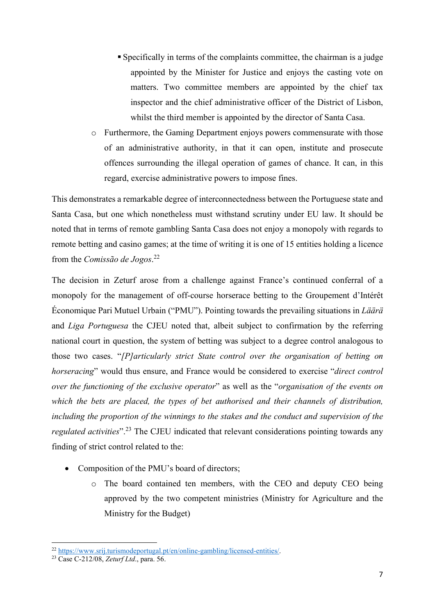- Specifically in terms of the complaints committee, the chairman is a judge appointed by the Minister for Justice and enjoys the casting vote on matters. Two committee members are appointed by the chief tax inspector and the chief administrative officer of the District of Lisbon, whilst the third member is appointed by the director of Santa Casa.
- o Furthermore, the Gaming Department enjoys powers commensurate with those of an administrative authority, in that it can open, institute and prosecute offences surrounding the illegal operation of games of chance. It can, in this regard, exercise administrative powers to impose fines.

This demonstrates a remarkable degree of interconnectedness between the Portuguese state and Santa Casa, but one which nonetheless must withstand scrutiny under EU law. It should be noted that in terms of remote gambling Santa Casa does not enjoy a monopoly with regards to remote betting and casino games; at the time of writing it is one of 15 entities holding a licence from the Comissão de Jogos.<sup>22</sup>

The decision in Zeturf arose from a challenge against France's continued conferral of a monopoly for the management of off-course horserace betting to the Groupement d'Intérêt Économique Pari Mutuel Urbain ("PMU"). Pointing towards the prevailing situations in Läärä and Liga Portuguesa the CJEU noted that, albeit subject to confirmation by the referring national court in question, the system of betting was subject to a degree control analogous to those two cases. "[P]articularly strict State control over the organisation of betting on horseracing" would thus ensure, and France would be considered to exercise "direct control over the functioning of the exclusive operator" as well as the "organisation of the events on which the bets are placed, the types of bet authorised and their channels of distribution, including the proportion of the winnings to the stakes and the conduct and supervision of the *regulated activities*".<sup>23</sup> The CJEU indicated that relevant considerations pointing towards any finding of strict control related to the:

- Composition of the PMU's board of directors:
	- o The board contained ten members, with the CEO and deputy CEO being approved by the two competent ministries (Ministry for Agriculture and the Ministry for the Budget)

<sup>&</sup>lt;sup>22</sup> https://www.srij.turismodeportugal.pt/en/online-gambling/licensed-entities/.

<sup>&</sup>lt;sup>23</sup> Case C-212/08, Zeturf Ltd., para. 56.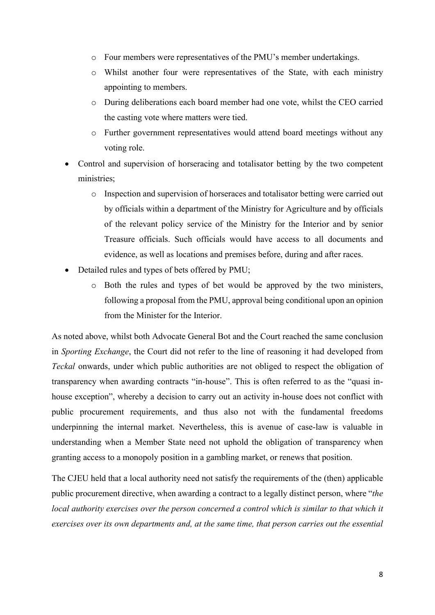- o Four members were representatives of the PMU's member undertakings.
- o Whilst another four were representatives of the State, with each ministry appointing to members.
- o During deliberations each board member had one vote, whilst the CEO carried the casting vote where matters were tied.
- o Further government representatives would attend board meetings without any voting role.
- Control and supervision of horseracing and totalisator betting by the two competent ministries;
	- o Inspection and supervision of horseraces and totalisator betting were carried out by officials within a department of the Ministry for Agriculture and by officials of the relevant policy service of the Ministry for the Interior and by senior Treasure officials. Such officials would have access to all documents and evidence, as well as locations and premises before, during and after races.
- Detailed rules and types of bets offered by PMU;
	- o Both the rules and types of bet would be approved by the two ministers, following a proposal from the PMU, approval being conditional upon an opinion from the Minister for the Interior.

As noted above, whilst both Advocate General Bot and the Court reached the same conclusion in Sporting Exchange, the Court did not refer to the line of reasoning it had developed from Teckal onwards, under which public authorities are not obliged to respect the obligation of transparency when awarding contracts "in-house". This is often referred to as the "quasi inhouse exception", whereby a decision to carry out an activity in-house does not conflict with public procurement requirements, and thus also not with the fundamental freedoms underpinning the internal market. Nevertheless, this is avenue of case-law is valuable in understanding when a Member State need not uphold the obligation of transparency when granting access to a monopoly position in a gambling market, or renews that position.

The CJEU held that a local authority need not satisfy the requirements of the (then) applicable public procurement directive, when awarding a contract to a legally distinct person, where "the local authority exercises over the person concerned a control which is similar to that which it exercises over its own departments and, at the same time, that person carries out the essential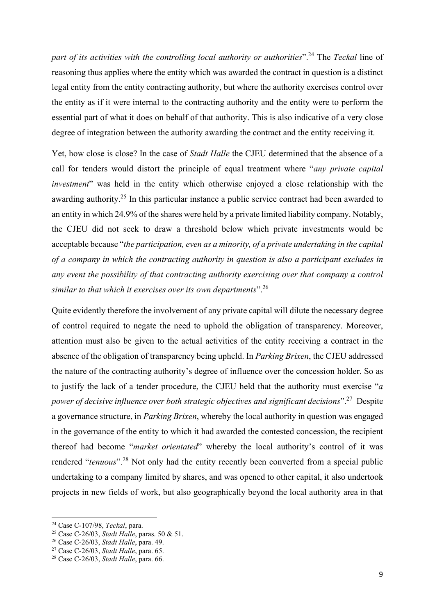part of its activities with the controlling local authority or authorities".<sup>24</sup> The Teckal line of reasoning thus applies where the entity which was awarded the contract in question is a distinct legal entity from the entity contracting authority, but where the authority exercises control over the entity as if it were internal to the contracting authority and the entity were to perform the essential part of what it does on behalf of that authority. This is also indicative of a very close degree of integration between the authority awarding the contract and the entity receiving it.

Yet, how close is close? In the case of Stadt Halle the CJEU determined that the absence of a call for tenders would distort the principle of equal treatment where "any private capital" investment" was held in the entity which otherwise enjoyed a close relationship with the awarding authority.<sup>25</sup> In this particular instance a public service contract had been awarded to an entity in which 24.9% of the shares were held by a private limited liability company. Notably, the CJEU did not seek to draw a threshold below which private investments would be acceptable because "the participation, even as a minority, of a private undertaking in the capital of a company in which the contracting authority in question is also a participant excludes in any event the possibility of that contracting authority exercising over that company a control similar to that which it exercises over its own departments".  $26$ 

Quite evidently therefore the involvement of any private capital will dilute the necessary degree of control required to negate the need to uphold the obligation of transparency. Moreover, attention must also be given to the actual activities of the entity receiving a contract in the absence of the obligation of transparency being upheld. In *Parking Brixen*, the CJEU addressed the nature of the contracting authority's degree of influence over the concession holder. So as to justify the lack of a tender procedure, the CJEU held that the authority must exercise " $a$ power of decisive influence over both strategic objectives and significant decisions".<sup>27</sup> Despite a governance structure, in Parking Brixen, whereby the local authority in question was engaged in the governance of the entity to which it had awarded the contested concession, the recipient thereof had become "market orientated" whereby the local authority's control of it was rendered "*tenuous*"<sup>28</sup> Not only had the entity recently been converted from a special public undertaking to a company limited by shares, and was opened to other capital, it also undertook projects in new fields of work, but also geographically beyond the local authority area in that

 $24$  Case C-107/98, Teckal, para.

<sup>25</sup> Case C-26/03, Stadt Halle, paras. 50 & 51.

<sup>26</sup> Case C-26/03, Stadt Halle, para. 49.

 $27$  Case C-26/03, Stadt Halle, para. 65.

<sup>28</sup> Case C-26/03, Stadt Halle, para. 66.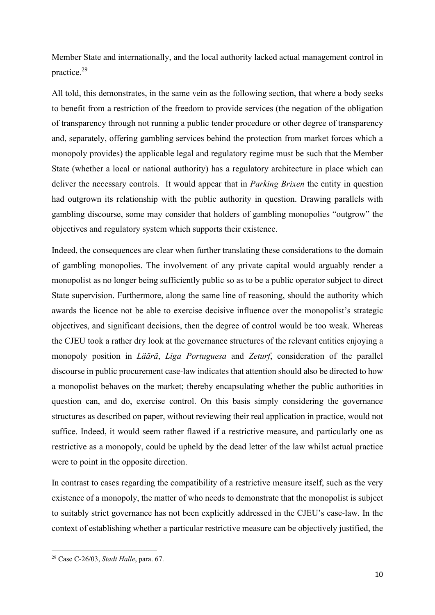Member State and internationally, and the local authority lacked actual management control in practice.<sup>29</sup>

All told, this demonstrates, in the same vein as the following section, that where a body seeks to benefit from a restriction of the freedom to provide services (the negation of the obligation of transparency through not running a public tender procedure or other degree of transparency and, separately, offering gambling services behind the protection from market forces which a monopoly provides) the applicable legal and regulatory regime must be such that the Member State (whether a local or national authority) has a regulatory architecture in place which can deliver the necessary controls. It would appear that in *Parking Brixen* the entity in question had outgrown its relationship with the public authority in question. Drawing parallels with gambling discourse, some may consider that holders of gambling monopolies "outgrow" the objectives and regulatory system which supports their existence.

Indeed, the consequences are clear when further translating these considerations to the domain of gambling monopolies. The involvement of any private capital would arguably render a monopolist as no longer being sufficiently public so as to be a public operator subject to direct State supervision. Furthermore, along the same line of reasoning, should the authority which awards the licence not be able to exercise decisive influence over the monopolist's strategic objectives, and significant decisions, then the degree of control would be too weak. Whereas the CJEU took a rather dry look at the governance structures of the relevant entities enjoying a monopoly position in Läärä, Liga Portuguesa and Zeturf, consideration of the parallel discourse in public procurement case-law indicates that attention should also be directed to how a monopolist behaves on the market; thereby encapsulating whether the public authorities in question can, and do, exercise control. On this basis simply considering the governance structures as described on paper, without reviewing their real application in practice, would not suffice. Indeed, it would seem rather flawed if a restrictive measure, and particularly one as restrictive as a monopoly, could be upheld by the dead letter of the law whilst actual practice were to point in the opposite direction.

In contrast to cases regarding the compatibility of a restrictive measure itself, such as the very existence of a monopoly, the matter of who needs to demonstrate that the monopolist is subject to suitably strict governance has not been explicitly addressed in the CJEU's case-law. In the context of establishing whether a particular restrictive measure can be objectively justified, the

 $29$  Case C-26/03, Stadt Halle, para. 67.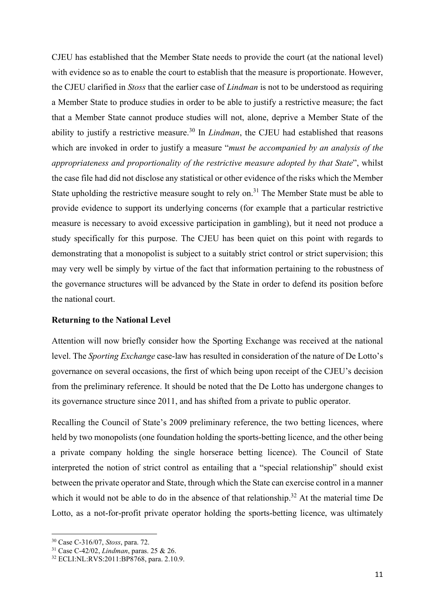CJEU has established that the Member State needs to provide the court (at the national level) with evidence so as to enable the court to establish that the measure is proportionate. However, the CJEU clarified in Stoss that the earlier case of Lindman is not to be understood as requiring a Member State to produce studies in order to be able to justify a restrictive measure; the fact that a Member State cannot produce studies will not, alone, deprive a Member State of the ability to justify a restrictive measure.<sup>30</sup> In *Lindman*, the CJEU had established that reasons which are invoked in order to justify a measure "must be accompanied by an analysis of the appropriateness and proportionality of the restrictive measure adopted by that State", whilst the case file had did not disclose any statistical or other evidence of the risks which the Member State upholding the restrictive measure sought to rely on.<sup>31</sup> The Member State must be able to provide evidence to support its underlying concerns (for example that a particular restrictive measure is necessary to avoid excessive participation in gambling), but it need not produce a study specifically for this purpose. The CJEU has been quiet on this point with regards to demonstrating that a monopolist is subject to a suitably strict control or strict supervision; this may very well be simply by virtue of the fact that information pertaining to the robustness of the governance structures will be advanced by the State in order to defend its position before the national court.

## Returning to the National Level

Attention will now briefly consider how the Sporting Exchange was received at the national level. The Sporting Exchange case-law has resulted in consideration of the nature of De Lotto's governance on several occasions, the first of which being upon receipt of the CJEU's decision from the preliminary reference. It should be noted that the De Lotto has undergone changes to its governance structure since 2011, and has shifted from a private to public operator.

Recalling the Council of State's 2009 preliminary reference, the two betting licences, where held by two monopolists (one foundation holding the sports-betting licence, and the other being a private company holding the single horserace betting licence). The Council of State interpreted the notion of strict control as entailing that a "special relationship" should exist between the private operator and State, through which the State can exercise control in a manner which it would not be able to do in the absence of that relationship.<sup>32</sup> At the material time De Lotto, as a not-for-profit private operator holding the sports-betting licence, was ultimately

<sup>30</sup> Case C-316/07, Stoss, para. 72.

<sup>31</sup> Case C-42/02, Lindman, paras. 25 & 26.

<sup>32</sup> ECLI:NL:RVS:2011:BP8768, para. 2.10.9.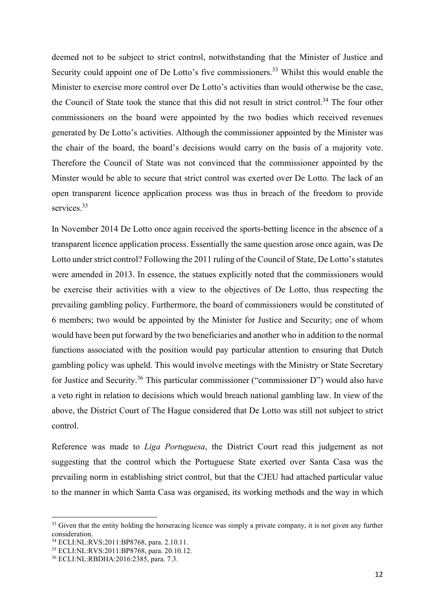deemed not to be subject to strict control, notwithstanding that the Minister of Justice and Security could appoint one of De Lotto's five commissioners.<sup>33</sup> Whilst this would enable the Minister to exercise more control over De Lotto's activities than would otherwise be the case, the Council of State took the stance that this did not result in strict control.<sup>34</sup> The four other commissioners on the board were appointed by the two bodies which received revenues generated by De Lotto's activities. Although the commissioner appointed by the Minister was the chair of the board, the board's decisions would carry on the basis of a majority vote. Therefore the Council of State was not convinced that the commissioner appointed by the Minster would be able to secure that strict control was exerted over De Lotto. The lack of an open transparent licence application process was thus in breach of the freedom to provide services<sup>35</sup>

In November 2014 De Lotto once again received the sports-betting licence in the absence of a transparent licence application process. Essentially the same question arose once again, was De Lotto under strict control? Following the 2011 ruling of the Council of State, De Lotto's statutes were amended in 2013. In essence, the statues explicitly noted that the commissioners would be exercise their activities with a view to the objectives of De Lotto, thus respecting the prevailing gambling policy. Furthermore, the board of commissioners would be constituted of 6 members; two would be appointed by the Minister for Justice and Security; one of whom would have been put forward by the two beneficiaries and another who in addition to the normal functions associated with the position would pay particular attention to ensuring that Dutch gambling policy was upheld. This would involve meetings with the Ministry or State Secretary for Justice and Security.<sup>36</sup> This particular commissioner ("commissioner D") would also have a veto right in relation to decisions which would breach national gambling law. In view of the above, the District Court of The Hague considered that De Lotto was still not subject to strict control.

Reference was made to Liga Portuguesa, the District Court read this judgement as not suggesting that the control which the Portuguese State exerted over Santa Casa was the prevailing norm in establishing strict control, but that the CJEU had attached particular value to the manner in which Santa Casa was organised, its working methods and the way in which

<sup>&</sup>lt;sup>33</sup> Given that the entity holding the horseracing licence was simply a private company, it is not given any further consideration.

<sup>34</sup> ECLI:NL:RVS:2011:BP8768, para. 2.10.11.

<sup>35</sup> ECLI:NL:RVS:2011:BP8768, para. 20.10.12.

<sup>36</sup> ECLI:NL:RBDHA:2016:2385, para. 7.3.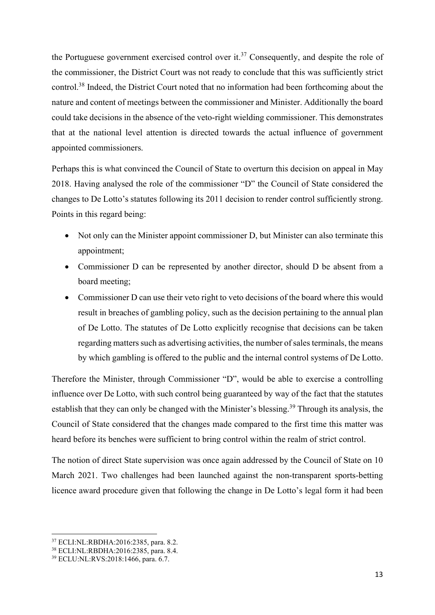the Portuguese government exercised control over it.<sup>37</sup> Consequently, and despite the role of the commissioner, the District Court was not ready to conclude that this was sufficiently strict control.<sup>38</sup> Indeed, the District Court noted that no information had been forthcoming about the nature and content of meetings between the commissioner and Minister. Additionally the board could take decisions in the absence of the veto-right wielding commissioner. This demonstrates that at the national level attention is directed towards the actual influence of government appointed commissioners.

Perhaps this is what convinced the Council of State to overturn this decision on appeal in May 2018. Having analysed the role of the commissioner "D" the Council of State considered the changes to De Lotto's statutes following its 2011 decision to render control sufficiently strong. Points in this regard being:

- Not only can the Minister appoint commissioner D, but Minister can also terminate this appointment;
- Commissioner D can be represented by another director, should D be absent from a board meeting;
- Commissioner D can use their veto right to veto decisions of the board where this would result in breaches of gambling policy, such as the decision pertaining to the annual plan of De Lotto. The statutes of De Lotto explicitly recognise that decisions can be taken regarding matters such as advertising activities, the number of sales terminals, the means by which gambling is offered to the public and the internal control systems of De Lotto.

Therefore the Minister, through Commissioner "D", would be able to exercise a controlling influence over De Lotto, with such control being guaranteed by way of the fact that the statutes establish that they can only be changed with the Minister's blessing.<sup>39</sup> Through its analysis, the Council of State considered that the changes made compared to the first time this matter was heard before its benches were sufficient to bring control within the realm of strict control.

The notion of direct State supervision was once again addressed by the Council of State on 10 March 2021. Two challenges had been launched against the non-transparent sports-betting licence award procedure given that following the change in De Lotto's legal form it had been

<sup>37</sup> ECLI:NL:RBDHA:2016:2385, para. 8.2.

<sup>38</sup> ECLI:NL:RBDHA:2016:2385, para. 8.4.

<sup>39</sup> ECLU:NL:RVS:2018:1466, para. 6.7.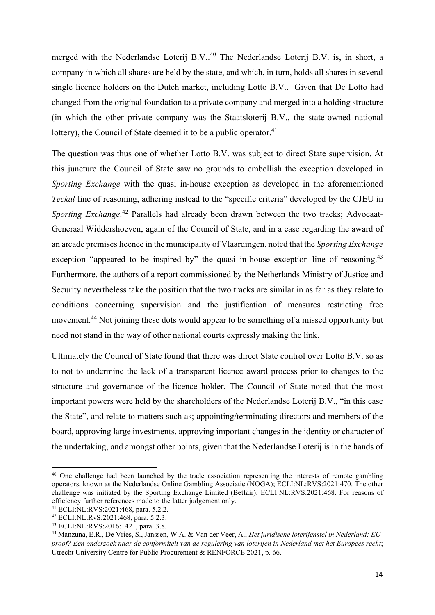merged with the Nederlandse Loterij B.V..<sup>40</sup> The Nederlandse Loterij B.V. is, in short, a company in which all shares are held by the state, and which, in turn, holds all shares in several single licence holders on the Dutch market, including Lotto B.V.. Given that De Lotto had changed from the original foundation to a private company and merged into a holding structure (in which the other private company was the Staatsloterij B.V., the state-owned national lottery), the Council of State deemed it to be a public operator.<sup>41</sup>

The question was thus one of whether Lotto B.V. was subject to direct State supervision. At this juncture the Council of State saw no grounds to embellish the exception developed in Sporting Exchange with the quasi in-house exception as developed in the aforementioned Teckal line of reasoning, adhering instead to the "specific criteria" developed by the CJEU in Sporting Exchange.<sup>42</sup> Parallels had already been drawn between the two tracks; Advocaat-Generaal Widdershoeven, again of the Council of State, and in a case regarding the award of an arcade premises licence in the municipality of Vlaardingen, noted that the Sporting Exchange exception "appeared to be inspired by" the quasi in-house exception line of reasoning.<sup>43</sup> Furthermore, the authors of a report commissioned by the Netherlands Ministry of Justice and Security nevertheless take the position that the two tracks are similar in as far as they relate to conditions concerning supervision and the justification of measures restricting free movement.<sup>44</sup> Not joining these dots would appear to be something of a missed opportunity but need not stand in the way of other national courts expressly making the link.

Ultimately the Council of State found that there was direct State control over Lotto B.V. so as to not to undermine the lack of a transparent licence award process prior to changes to the structure and governance of the licence holder. The Council of State noted that the most important powers were held by the shareholders of the Nederlandse Loterij B.V., "in this case the State", and relate to matters such as; appointing/terminating directors and members of the board, approving large investments, approving important changes in the identity or character of the undertaking, and amongst other points, given that the Nederlandse Loterij is in the hands of

<sup>&</sup>lt;sup>40</sup> One challenge had been launched by the trade association representing the interests of remote gambling operators, known as the Nederlandse Online Gambling Associatie (NOGA); ECLI:NL:RVS:2021:470. The other challenge was initiated by the Sporting Exchange Limited (Betfair); ECLI:NL:RVS:2021:468. For reasons of efficiency further references made to the latter judgement only.

<sup>41</sup> ECLI:NL:RVS:2021:468, para. 5.2.2.

<sup>42</sup> ECLI:NL:RvS:2021:468, para. 5.2.3.

<sup>43</sup> ECLI:NL:RVS:2016:1421, para. 3.8.

<sup>44</sup> Manzuna, E.R., De Vries, S., Janssen, W.A. & Van der Veer, A., Het juridische loterijenstel in Nederland: EUproof? Een onderzoek naar de conformiteit van de regulering van loterijen in Nederland met het Europees recht; Utrecht University Centre for Public Procurement & RENFORCE 2021, p. 66.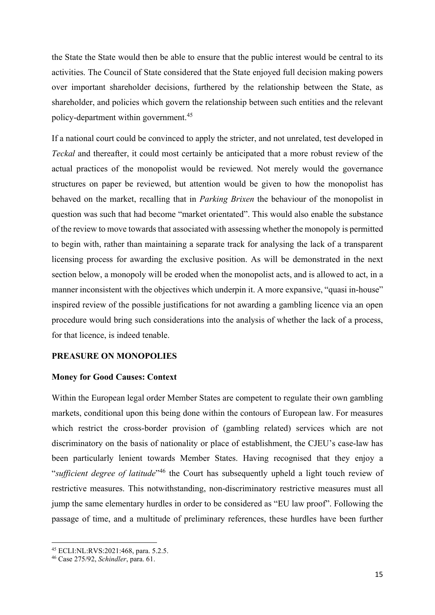the State the State would then be able to ensure that the public interest would be central to its activities. The Council of State considered that the State enjoyed full decision making powers over important shareholder decisions, furthered by the relationship between the State, as shareholder, and policies which govern the relationship between such entities and the relevant policy-department within government.<sup>45</sup>

If a national court could be convinced to apply the stricter, and not unrelated, test developed in Teckal and thereafter, it could most certainly be anticipated that a more robust review of the actual practices of the monopolist would be reviewed. Not merely would the governance structures on paper be reviewed, but attention would be given to how the monopolist has behaved on the market, recalling that in Parking Brixen the behaviour of the monopolist in question was such that had become "market orientated". This would also enable the substance of the review to move towards that associated with assessing whether the monopoly is permitted to begin with, rather than maintaining a separate track for analysing the lack of a transparent licensing process for awarding the exclusive position. As will be demonstrated in the next section below, a monopoly will be eroded when the monopolist acts, and is allowed to act, in a manner inconsistent with the objectives which underpin it. A more expansive, "quasi in-house" inspired review of the possible justifications for not awarding a gambling licence via an open procedure would bring such considerations into the analysis of whether the lack of a process, for that licence, is indeed tenable.

# PREASURE ON MONOPOLIES

#### Money for Good Causes: Context

Within the European legal order Member States are competent to regulate their own gambling markets, conditional upon this being done within the contours of European law. For measures which restrict the cross-border provision of (gambling related) services which are not discriminatory on the basis of nationality or place of establishment, the CJEU's case-law has been particularly lenient towards Member States. Having recognised that they enjoy a "sufficient degree of latitude"<sup>46</sup> the Court has subsequently upheld a light touch review of restrictive measures. This notwithstanding, non-discriminatory restrictive measures must all jump the same elementary hurdles in order to be considered as "EU law proof". Following the passage of time, and a multitude of preliminary references, these hurdles have been further

<sup>45</sup> ECLI:NL:RVS:2021:468, para. 5.2.5.

<sup>46</sup> Case 275/92, Schindler, para. 61.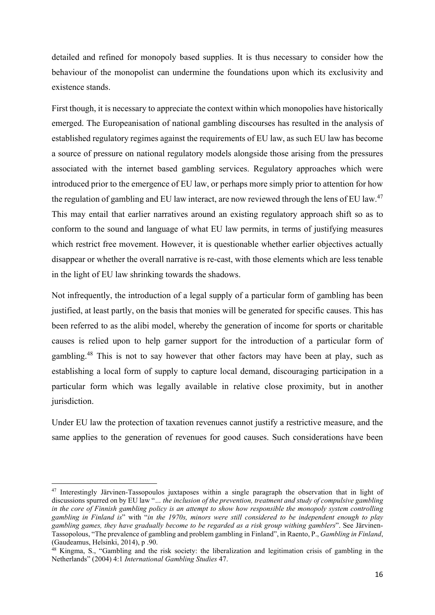detailed and refined for monopoly based supplies. It is thus necessary to consider how the behaviour of the monopolist can undermine the foundations upon which its exclusivity and existence stands.

First though, it is necessary to appreciate the context within which monopolies have historically emerged. The Europeanisation of national gambling discourses has resulted in the analysis of established regulatory regimes against the requirements of EU law, as such EU law has become a source of pressure on national regulatory models alongside those arising from the pressures associated with the internet based gambling services. Regulatory approaches which were introduced prior to the emergence of EU law, or perhaps more simply prior to attention for how the regulation of gambling and EU law interact, are now reviewed through the lens of EU law.<sup>47</sup> This may entail that earlier narratives around an existing regulatory approach shift so as to conform to the sound and language of what EU law permits, in terms of justifying measures which restrict free movement. However, it is questionable whether earlier objectives actually disappear or whether the overall narrative is re-cast, with those elements which are less tenable in the light of EU law shrinking towards the shadows.

Not infrequently, the introduction of a legal supply of a particular form of gambling has been justified, at least partly, on the basis that monies will be generated for specific causes. This has been referred to as the alibi model, whereby the generation of income for sports or charitable causes is relied upon to help garner support for the introduction of a particular form of gambling.<sup>48</sup> This is not to say however that other factors may have been at play, such as establishing a local form of supply to capture local demand, discouraging participation in a particular form which was legally available in relative close proximity, but in another jurisdiction.

Under EU law the protection of taxation revenues cannot justify a restrictive measure, and the same applies to the generation of revenues for good causes. Such considerations have been

<sup>47</sup> Interestingly Järvinen-Tassopoulos juxtaposes within a single paragraph the observation that in light of discussions spurred on by EU law "… the inclusion of the prevention, treatment and study of compulsive gambling in the core of Finnish gambling policy is an attempt to show how responsible the monopoly system controlling gambling in Finland is" with "in the 1970s, minors were still considered to be independent enough to play gambling games, they have gradually become to be regarded as a risk group withing gamblers". See Järvinen-Tassopolous, "The prevalence of gambling and problem gambling in Finland", in Raento, P., Gambling in Finland, (Gaudeamus, Helsinki, 2014), p .90.

<sup>48</sup> Kingma, S., "Gambling and the risk society: the liberalization and legitimation crisis of gambling in the Netherlands" (2004) 4:1 International Gambling Studies 47.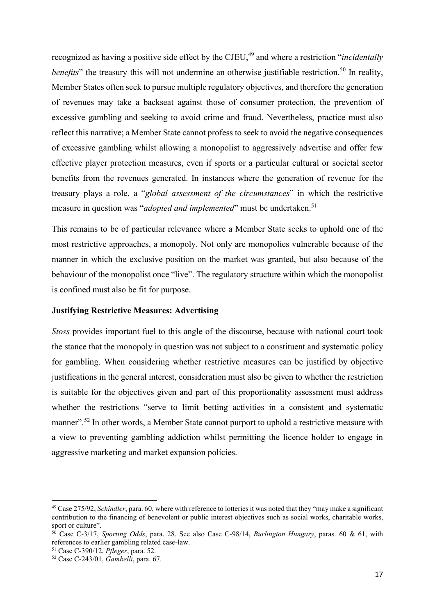recognized as having a positive side effect by the CJEU,<sup>49</sup> and where a restriction "*incidentally benefits*" the treasury this will not undermine an otherwise justifiable restriction.<sup>50</sup> In reality, Member States often seek to pursue multiple regulatory objectives, and therefore the generation of revenues may take a backseat against those of consumer protection, the prevention of excessive gambling and seeking to avoid crime and fraud. Nevertheless, practice must also reflect this narrative; a Member State cannot profess to seek to avoid the negative consequences of excessive gambling whilst allowing a monopolist to aggressively advertise and offer few effective player protection measures, even if sports or a particular cultural or societal sector benefits from the revenues generated. In instances where the generation of revenue for the treasury plays a role, a "global assessment of the circumstances" in which the restrictive measure in question was "*adopted and implemented*" must be undertaken.<sup>51</sup>

This remains to be of particular relevance where a Member State seeks to uphold one of the most restrictive approaches, a monopoly. Not only are monopolies vulnerable because of the manner in which the exclusive position on the market was granted, but also because of the behaviour of the monopolist once "live". The regulatory structure within which the monopolist is confined must also be fit for purpose.

#### Justifying Restrictive Measures: Advertising

Stoss provides important fuel to this angle of the discourse, because with national court took the stance that the monopoly in question was not subject to a constituent and systematic policy for gambling. When considering whether restrictive measures can be justified by objective justifications in the general interest, consideration must also be given to whether the restriction is suitable for the objectives given and part of this proportionality assessment must address whether the restrictions "serve to limit betting activities in a consistent and systematic manner".<sup>52</sup> In other words, a Member State cannot purport to uphold a restrictive measure with a view to preventing gambling addiction whilst permitting the licence holder to engage in aggressive marketing and market expansion policies.

 $^{49}$  Case 275/92, *Schindler*, para. 60, where with reference to lotteries it was noted that they "may make a significant" contribution to the financing of benevolent or public interest objectives such as social works, charitable works, sport or culture".

 $50$  Case C-3/17, Sporting Odds, para. 28. See also Case C-98/14, Burlington Hungary, paras. 60 & 61, with references to earlier gambling related case-law.

<sup>51</sup> Case C-390/12, Pfleger, para. 52.

 $52$  Case C-243/01, Gambelli, para. 67.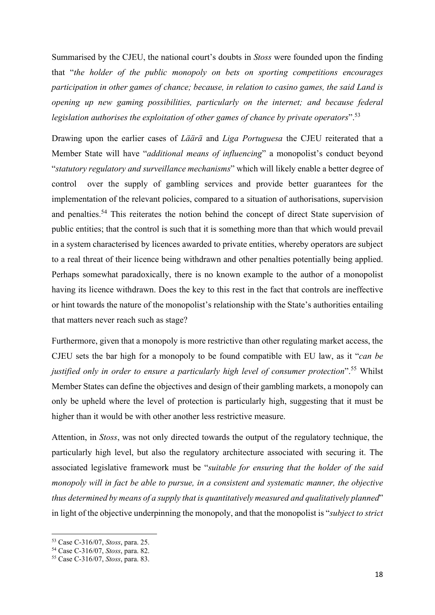Summarised by the CJEU, the national court's doubts in Stoss were founded upon the finding that "the holder of the public monopoly on bets on sporting competitions encourages participation in other games of chance; because, in relation to casino games, the said Land is opening up new gaming possibilities, particularly on the internet; and because federal legislation authorises the exploitation of other games of chance by private operators".<sup>53</sup>

Drawing upon the earlier cases of Läärä and Liga Portuguesa the CJEU reiterated that a Member State will have "additional means of influencing" a monopolist's conduct beyond "statutory regulatory and surveillance mechanisms" which will likely enable a better degree of control over the supply of gambling services and provide better guarantees for the implementation of the relevant policies, compared to a situation of authorisations, supervision and penalties.<sup>54</sup> This reiterates the notion behind the concept of direct State supervision of public entities; that the control is such that it is something more than that which would prevail in a system characterised by licences awarded to private entities, whereby operators are subject to a real threat of their licence being withdrawn and other penalties potentially being applied. Perhaps somewhat paradoxically, there is no known example to the author of a monopolist having its licence withdrawn. Does the key to this rest in the fact that controls are ineffective or hint towards the nature of the monopolist's relationship with the State's authorities entailing that matters never reach such as stage?

Furthermore, given that a monopoly is more restrictive than other regulating market access, the CJEU sets the bar high for a monopoly to be found compatible with EU law, as it "can be justified only in order to ensure a particularly high level of consumer protection".<sup>55</sup> Whilst Member States can define the objectives and design of their gambling markets, a monopoly can only be upheld where the level of protection is particularly high, suggesting that it must be higher than it would be with other another less restrictive measure.

Attention, in Stoss, was not only directed towards the output of the regulatory technique, the particularly high level, but also the regulatory architecture associated with securing it. The associated legislative framework must be "suitable for ensuring that the holder of the said monopoly will in fact be able to pursue, in a consistent and systematic manner, the objective thus determined by means of a supply that is quantitatively measured and qualitatively planned" in light of the objective underpinning the monopoly, and that the monopolist is "subject to strict

<sup>53</sup> Case C-316/07, Stoss, para. 25.

<sup>54</sup> Case C-316/07, Stoss, para. 82.

<sup>55</sup> Case C-316/07, Stoss, para. 83.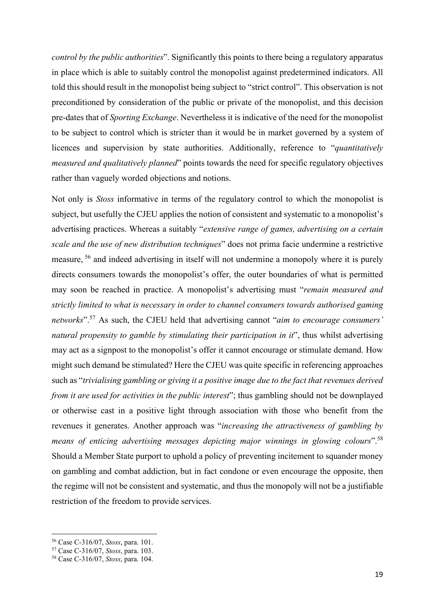control by the public authorities". Significantly this points to there being a regulatory apparatus in place which is able to suitably control the monopolist against predetermined indicators. All told this should result in the monopolist being subject to "strict control". This observation is not preconditioned by consideration of the public or private of the monopolist, and this decision pre-dates that of Sporting Exchange. Nevertheless it is indicative of the need for the monopolist to be subject to control which is stricter than it would be in market governed by a system of licences and supervision by state authorities. Additionally, reference to "*quantitatively* measured and qualitatively planned" points towards the need for specific regulatory objectives rather than vaguely worded objections and notions.

Not only is Stoss informative in terms of the regulatory control to which the monopolist is subject, but usefully the CJEU applies the notion of consistent and systematic to a monopolist's advertising practices. Whereas a suitably "extensive range of games, advertising on a certain scale and the use of new distribution techniques" does not prima facie undermine a restrictive measure, <sup>56</sup> and indeed advertising in itself will not undermine a monopoly where it is purely directs consumers towards the monopolist's offer, the outer boundaries of what is permitted may soon be reached in practice. A monopolist's advertising must "remain measured and strictly limited to what is necessary in order to channel consumers towards authorised gaming networks".<sup>57</sup> As such, the CJEU held that advertising cannot "aim to encourage consumers' natural propensity to gamble by stimulating their participation in it", thus whilst advertising may act as a signpost to the monopolist's offer it cannot encourage or stimulate demand. How might such demand be stimulated? Here the CJEU was quite specific in referencing approaches such as "trivialising gambling or giving it a positive image due to the fact that revenues derived from it are used for activities in the public interest"; thus gambling should not be downplayed or otherwise cast in a positive light through association with those who benefit from the revenues it generates. Another approach was "increasing the attractiveness of gambling by means of enticing advertising messages depicting major winnings in glowing colours".<sup>58</sup> Should a Member State purport to uphold a policy of preventing incitement to squander money on gambling and combat addiction, but in fact condone or even encourage the opposite, then the regime will not be consistent and systematic, and thus the monopoly will not be a justifiable restriction of the freedom to provide services.

<sup>56</sup> Case C-316/07, Stoss, para. 101.

<sup>57</sup> Case C-316/07, Stoss, para. 103.

<sup>58</sup> Case C-316/07, Stoss, para. 104.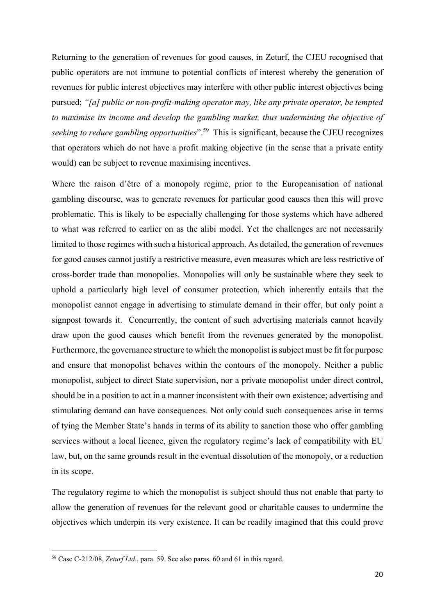Returning to the generation of revenues for good causes, in Zeturf, the CJEU recognised that public operators are not immune to potential conflicts of interest whereby the generation of revenues for public interest objectives may interfere with other public interest objectives being pursued; "[a] public or non-profit-making operator may, like any private operator, be tempted to maximise its income and develop the gambling market, thus undermining the objective of seeking to reduce gambling opportunities".<sup>59</sup> This is significant, because the CJEU recognizes that operators which do not have a profit making objective (in the sense that a private entity would) can be subject to revenue maximising incentives.

Where the raison d'être of a monopoly regime, prior to the Europeanisation of national gambling discourse, was to generate revenues for particular good causes then this will prove problematic. This is likely to be especially challenging for those systems which have adhered to what was referred to earlier on as the alibi model. Yet the challenges are not necessarily limited to those regimes with such a historical approach. As detailed, the generation of revenues for good causes cannot justify a restrictive measure, even measures which are less restrictive of cross-border trade than monopolies. Monopolies will only be sustainable where they seek to uphold a particularly high level of consumer protection, which inherently entails that the monopolist cannot engage in advertising to stimulate demand in their offer, but only point a signpost towards it. Concurrently, the content of such advertising materials cannot heavily draw upon the good causes which benefit from the revenues generated by the monopolist. Furthermore, the governance structure to which the monopolist is subject must be fit for purpose and ensure that monopolist behaves within the contours of the monopoly. Neither a public monopolist, subject to direct State supervision, nor a private monopolist under direct control, should be in a position to act in a manner inconsistent with their own existence; advertising and stimulating demand can have consequences. Not only could such consequences arise in terms of tying the Member State's hands in terms of its ability to sanction those who offer gambling services without a local licence, given the regulatory regime's lack of compatibility with EU law, but, on the same grounds result in the eventual dissolution of the monopoly, or a reduction in its scope.

The regulatory regime to which the monopolist is subject should thus not enable that party to allow the generation of revenues for the relevant good or charitable causes to undermine the objectives which underpin its very existence. It can be readily imagined that this could prove

<sup>59</sup> Case C-212/08, Zeturf Ltd., para. 59. See also paras. 60 and 61 in this regard.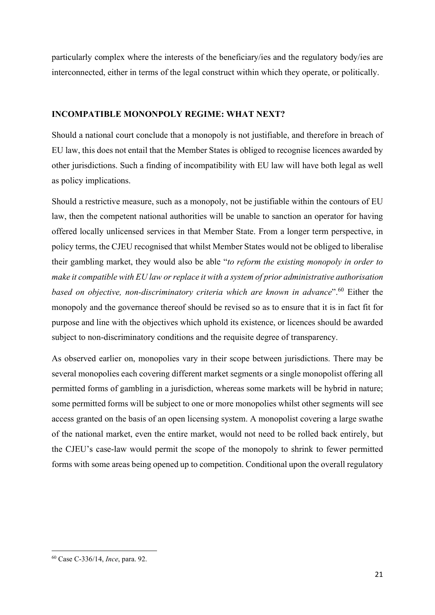particularly complex where the interests of the beneficiary/ies and the regulatory body/ies are interconnected, either in terms of the legal construct within which they operate, or politically.

# INCOMPATIBLE MONONPOLY REGIME: WHAT NEXT?

Should a national court conclude that a monopoly is not justifiable, and therefore in breach of EU law, this does not entail that the Member States is obliged to recognise licences awarded by other jurisdictions. Such a finding of incompatibility with EU law will have both legal as well as policy implications.

Should a restrictive measure, such as a monopoly, not be justifiable within the contours of EU law, then the competent national authorities will be unable to sanction an operator for having offered locally unlicensed services in that Member State. From a longer term perspective, in policy terms, the CJEU recognised that whilst Member States would not be obliged to liberalise their gambling market, they would also be able "to reform the existing monopoly in order to make it compatible with EU law or replace it with a system of prior administrative authorisation based on objective, non-discriminatory criteria which are known in advance".<sup>60</sup> Either the monopoly and the governance thereof should be revised so as to ensure that it is in fact fit for purpose and line with the objectives which uphold its existence, or licences should be awarded subject to non-discriminatory conditions and the requisite degree of transparency.

As observed earlier on, monopolies vary in their scope between jurisdictions. There may be several monopolies each covering different market segments or a single monopolist offering all permitted forms of gambling in a jurisdiction, whereas some markets will be hybrid in nature; some permitted forms will be subject to one or more monopolies whilst other segments will see access granted on the basis of an open licensing system. A monopolist covering a large swathe of the national market, even the entire market, would not need to be rolled back entirely, but the CJEU's case-law would permit the scope of the monopoly to shrink to fewer permitted forms with some areas being opened up to competition. Conditional upon the overall regulatory

<sup>60</sup> Case C-336/14, Ince, para. 92.